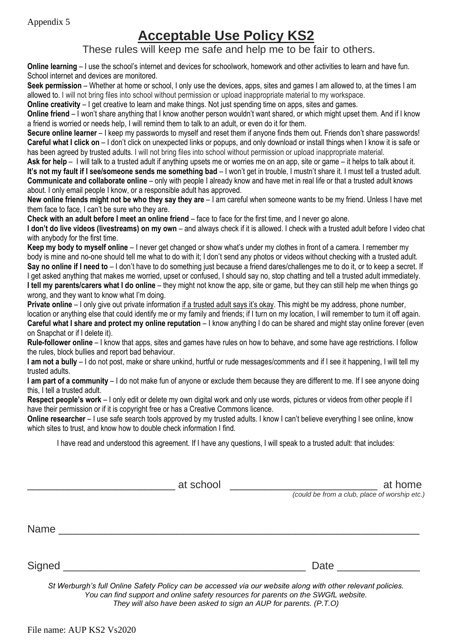## **Acceptable Use Policy KS2**

These rules will keep me safe and help me to be fair to others.

**Online learning** – I use the school's internet and devices for schoolwork, homework and other activities to learn and have fun. School internet and devices are monitored.

**Seek permission** – Whether at home or school, I only use the devices, apps, sites and games I am allowed to, at the times I am allowed to. I will not bring files into school without permission or upload inappropriate material to my workspace.

**Online creativity** – I get creative to learn and make things. Not just spending time on apps, sites and games.

**Online friend** – I won't share anything that I know another person wouldn't want shared, or which might upset them. And if I know a friend is worried or needs help, I will remind them to talk to an adult, or even do it for them.

**Secure online learner** – I keep my passwords to myself and reset them if anyone finds them out. Friends don't share passwords! **Careful what I click on** – I don't click on unexpected links or popups, and only download or install things when I know it is safe or has been agreed by trusted adults. I will not bring files into school without permission or upload inappropriate material.

**Ask for help** – I will talk to a trusted adult if anything upsets me or worries me on an app, site or game – it helps to talk about it. **It's not my fault if I see/someone sends me something bad** – I won't get in trouble, I mustn't share it. I must tell a trusted adult. **Communicate and collaborate online** – only with people I already know and have met in real life or that a trusted adult knows about. I only email people I know, or a responsible adult has approved.

**New online friends might not be who they say they are** – I am careful when someone wants to be my friend. Unless I have met them face to face, I can't be sure who they are.

**Check with an adult before I meet an online friend** – face to face for the first time, and I never go alone.

**I don't do live videos (livestreams) on my own** – and always check if it is allowed. I check with a trusted adult before I video chat with anybody for the first time.

**Keep my body to myself online** – I never get changed or show what's under my clothes in front of a camera. I remember my body is mine and no-one should tell me what to do with it; I don't send any photos or videos without checking with a trusted adult. **Say no online if I need to** – I don't have to do something just because a friend dares/challenges me to do it, or to keep a secret. If I get asked anything that makes me worried, upset or confused, I should say no, stop chatting and tell a trusted adult immediately. **I tell my parents/carers what I do online** – they might not know the app, site or game, but they can still help me when things go wrong, and they want to know what I'm doing.

**Private online** – I only give out private information if a trusted adult says it's okay. This might be my address, phone number, location or anything else that could identify me or my family and friends; if I turn on my location, I will remember to turn it off again. **Careful what I share and protect my online reputation** – I know anything I do can be shared and might stay online forever (even on Snapchat or if I delete it).

**Rule-follower online** – I know that apps, sites and games have rules on how to behave, and some have age restrictions. I follow the rules, block bullies and report bad behaviour.

**I am not a bully** – I do not post, make or share unkind, hurtful or rude messages/comments and if I see it happening, I will tell my trusted adults.

**I am part of a community** – I do not make fun of anyone or exclude them because they are different to me. If I see anyone doing this, I tell a trusted adult.

**Respect people's work** – I only edit or delete my own digital work and only use words, pictures or videos from other people if I have their permission or if it is copyright free or has a Creative Commons licence.

**Online researcher** – I use safe search tools approved by my trusted adults. I know I can't believe everything I see online, know which sites to trust, and know how to double check information I find.

I have read and understood this agreement. If I have any questions, I will speak to a trusted adult: that includes:

|        | at school                                                                          | at home                                                                                                     |  |
|--------|------------------------------------------------------------------------------------|-------------------------------------------------------------------------------------------------------------|--|
|        |                                                                                    | (could be from a club, place of worship etc.)                                                               |  |
|        |                                                                                    |                                                                                                             |  |
| Name   |                                                                                    |                                                                                                             |  |
| Signed |                                                                                    | Date                                                                                                        |  |
|        |                                                                                    |                                                                                                             |  |
|        | You can find support and online safety resources for parents on the SWGfL website. | St Werburgh's full Online Safety Policy can be accessed via our website along with other relevant policies. |  |

*They will also have been asked to sign an AUP for parents. (P.T.O)*